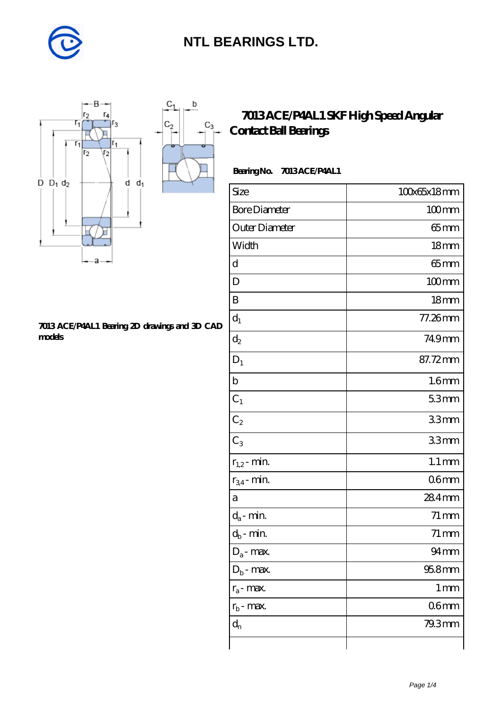

 $\mathbf{b}$ 

 $C_3$ 

■



#### **[7013 ACE/P4AL1 Bearing 2D drawings and 3D CAD](https://m.diabetesfriends.net/pic-590767.html) [models](https://m.diabetesfriends.net/pic-590767.html)**

### **[7013 ACE/P4AL1 SKF High Speed Angular](https://m.diabetesfriends.net/skf-bearing/7013-ace-p4al1.html) [Contact Ball Bearings](https://m.diabetesfriends.net/skf-bearing/7013-ace-p4al1.html)**

#### **Bearing No. 7013 ACE/P4AL1**

| Size                       | 100x65x18mm         |
|----------------------------|---------------------|
| <b>Bore Diameter</b>       | $100$ mm            |
| Outer Diameter             | $65$ mm             |
| Width                      | 18 <sub>mm</sub>    |
| d                          | $65$ mm             |
| D                          | $100$ mm            |
| B                          | 18 <sub>mm</sub>    |
| $d_1$                      | 77.26mm             |
| $\mathrm{d}_2$             | 749mm               |
| $D_1$                      | 87.72mm             |
| $\mathbf b$                | 1.6 <sub>mm</sub>   |
| $C_1$                      | 53mm                |
| $C_2$                      | 33mm                |
| $C_3$                      | 33mm                |
| $r_{1,2}$ - min.           | $1.1 \,\mathrm{mm}$ |
| $r_{34}$ - min.            | 06 <sub>mm</sub>    |
| a                          | 284mm               |
| $d_a$ - min.               | $71 \,\mathrm{mm}$  |
| $d_b\operatorname{-} \min$ | $71 \,\mathrm{mm}$  |
| $D_a$ - max.               | $94$ mm             |
| $D_b$ - max.               | $958$ mm            |
| $r_a$ - max.               | 1 <sub>mm</sub>     |
| $r_{b}$ - max.             | 06mm                |
| $d_{n}$                    | 79.3mm              |
|                            |                     |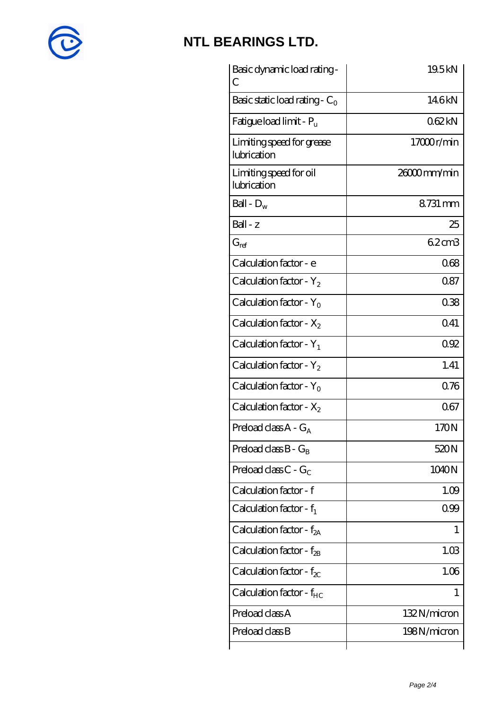

| Basic dynamic load rating -<br>С         | 19.5kN        |
|------------------------------------------|---------------|
| Basic static load rating - $C_0$         | 146kN         |
| Fatigue load limit - $P_{\rm u}$         | 062kN         |
| Limiting speed for grease<br>lubrication | 17000r/min    |
| Limiting speed for oil<br>lubrication    | $2600$ mm/min |
| Ball - $D_w$                             | 8731 mm       |
| $Ball - z$                               | 25            |
| $G_{\text{ref}}$                         | 6.2cm3        |
| Calculation factor - e                   | 068           |
| Calculation factor - $Y_2$               | 087           |
| Calculation factor - $Y_0$               | 038           |
| Calculation factor - $X_2$               | 041           |
| Calculation factor - $Y_1$               | 092           |
| Calculation factor - $Y_2$               | 1.41          |
| Calculation factor - $Y_0$               | 0.76          |
| Calculation factor - $X_2$               | 067           |
| Preload class $A - G_A$                  | 170N          |
| Preload class $B - G_B$                  | 520N          |
| Preload class $C - G_C$                  | 1040N         |
| Calculation factor - f                   | 1.09          |
| Calculation factor - $f_1$               | 099           |
| Calculation factor - $f_{2A}$            | 1             |
| Calculation factor - $f_{\mathcal{B}}$   | 1.03          |
| Calculation factor - $f_{\chi}$          | 1.06          |
| Calculation factor - $f_{HC}$            | 1             |
| Preload class A                          | 132N/micron   |
| Preload class B                          | 198N/micron   |
|                                          |               |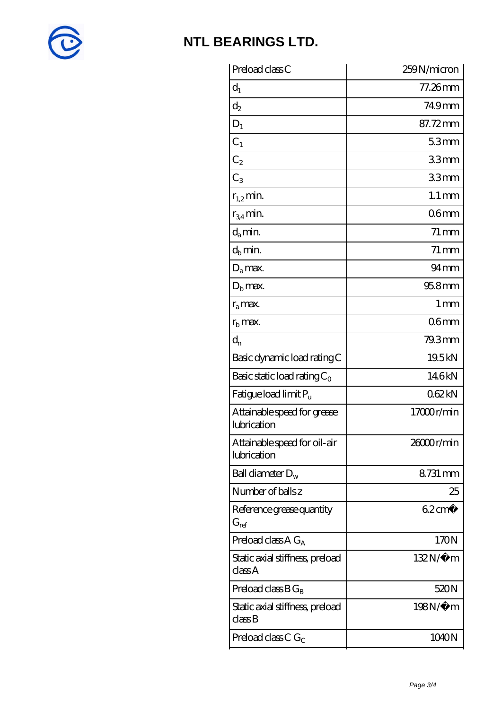

| Preload class C                             | 259N/micron         |
|---------------------------------------------|---------------------|
| $d_1$                                       | 77.26mm             |
| $\mathrm{d}_2$                              | 749mm               |
| $D_1$                                       | 87.72mm             |
| $C_1$                                       | 53mm                |
| C <sub>2</sub>                              | 33mm                |
| $C_3$                                       | 33mm                |
| $r_{1,2}$ min.                              | $1.1 \,\mathrm{mm}$ |
| $r_{34}$ min.                               | 06 <sub>mm</sub>    |
| $d_a$ min.                                  | $71 \,\mathrm{mm}$  |
| $d_b$ min.                                  | $71 \,\mathrm{mm}$  |
| $D_a$ max.                                  | $94 \text{mm}$      |
| $Db$ max.                                   | $958$ mm            |
| $r_a$ max.                                  | 1 <sub>mm</sub>     |
| $rb$ max.                                   | 06 <sub>mm</sub>    |
| $d_{n}$                                     | 79.3mm              |
| Basic dynamic load rating C                 | 19.5kN              |
| Basic static load rating $C_0$              | 146kN               |
| Fatigue load limit P <sub>u</sub>           | 062kN               |
| Attainable speed for grease<br>lubrication  | 17000r/min          |
| Attainable speed for oil-air<br>lubrication | 26000r/min          |
| Ball diameter $D_w$                         | 8731 mm             |
| Number of balls z                           | 25                  |
| Reference grease quantity<br>$G_{ref}$      | $62 \text{cm}^3$    |
| Preload class A $G_A$                       | 170N                |
| Static axial stiffness, preload<br>classA   | $132N/\mu$ m        |
| Preload class $BG_B$                        | 520N                |
| Static axial stiffness, preload<br>classB   | 198N/μ m            |
| Preload class C $G_C$                       | 1040N               |
|                                             |                     |